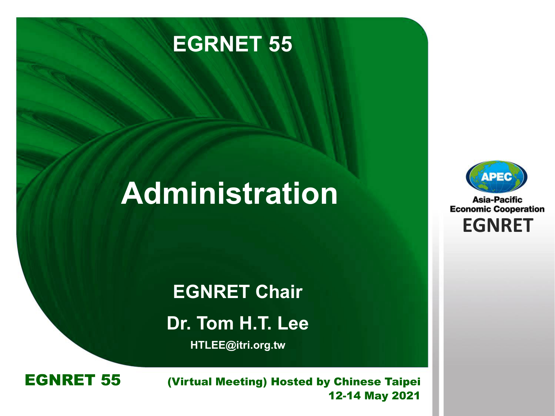

# **Administration**



**Asia-Pacific Economic Cooperation EGNRET EGNRET**

**EGNRET Chair Dr. Tom H.T. Lee**

**HTLEE@itri.org.tw**



**EXAMPLE 80 Brune I Brunei Darwing** *Brunei Darwing*, 103ted by Chinese 1<br>12-14 May EGNRET 55 (Virtual Meeting) Hosted by Chinese Taipei 12-14 May 2021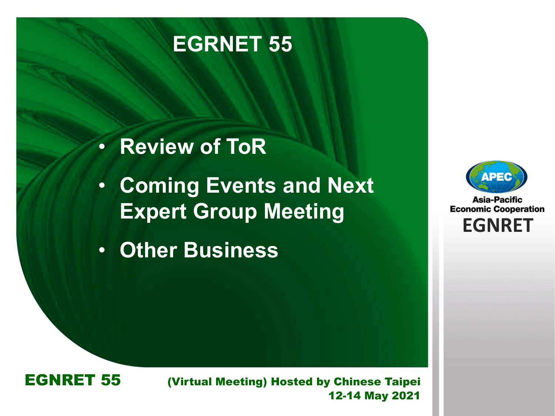

### • **Review of ToR**

- **Coming Events and Next Expert Group Meeting**
- **Other Business**



**Asia-Pacific Economic Cooperation EGNRET EGNRET**



**EXAMPLE 80 Brune I Brunei Darwing** *Brunei Darwing*, 103ted by Chinese 1<br>12-14 May EGNRET 55 (Virtual Meeting) Hosted by Chinese Taipei 12-14 May 2021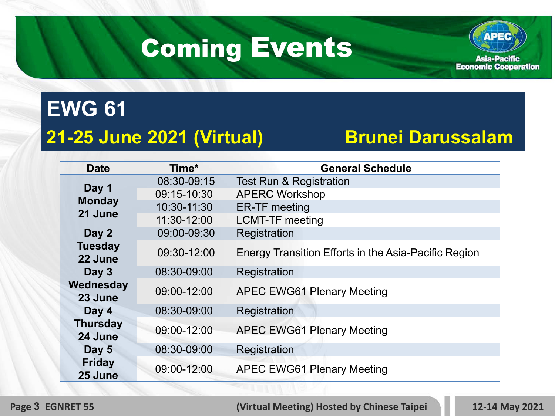# Coming Events



### **EWG 61 21-25 June 2021 (Virtual) Brunei Darussalam**

| <b>Date</b>                       | Time*       | <b>General Schedule</b>                              |
|-----------------------------------|-------------|------------------------------------------------------|
| Day 1<br><b>Monday</b><br>21 June | 08:30-09:15 | <b>Test Run &amp; Registration</b>                   |
|                                   | 09:15-10:30 | <b>APERC Workshop</b>                                |
|                                   | 10:30-11:30 | <b>ER-TF</b> meeting                                 |
|                                   | 11:30-12:00 | <b>LCMT-TF meeting</b>                               |
| Day 2                             | 09:00-09:30 | Registration                                         |
| <b>Tuesday</b><br>22 June         | 09:30-12:00 | Energy Transition Efforts in the Asia-Pacific Region |
| Day 3                             | 08:30-09:00 | Registration                                         |
| Wednesday<br>23 June              | 09:00-12:00 | <b>APEC EWG61 Plenary Meeting</b>                    |
| Day 4                             | 08:30-09:00 | Registration                                         |
| <b>Thursday</b><br>24 June        | 09:00-12:00 | <b>APEC EWG61 Plenary Meeting</b>                    |
| Day 5                             | 08:30-09:00 | Registration                                         |
| <b>Friday</b><br>25 June          | 09:00-12:00 | <b>APEC EWG61 Plenary Meeting</b>                    |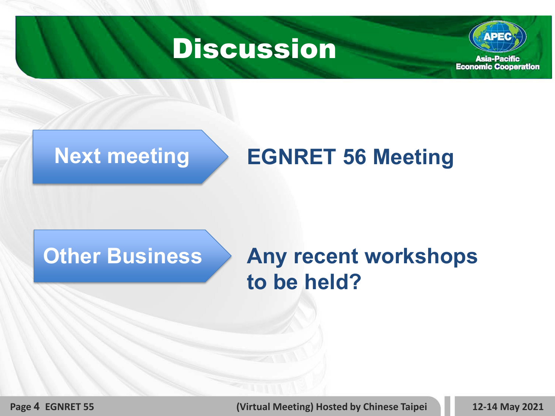



### **Next meeting EGNRET 56 Meeting**

### **Other Business**

### **Any recent workshops to be held?**

**Page 4 EGNRET 55 (Virtual Meeting) Hosted by Chinese Taipei 12-14 May 2021**